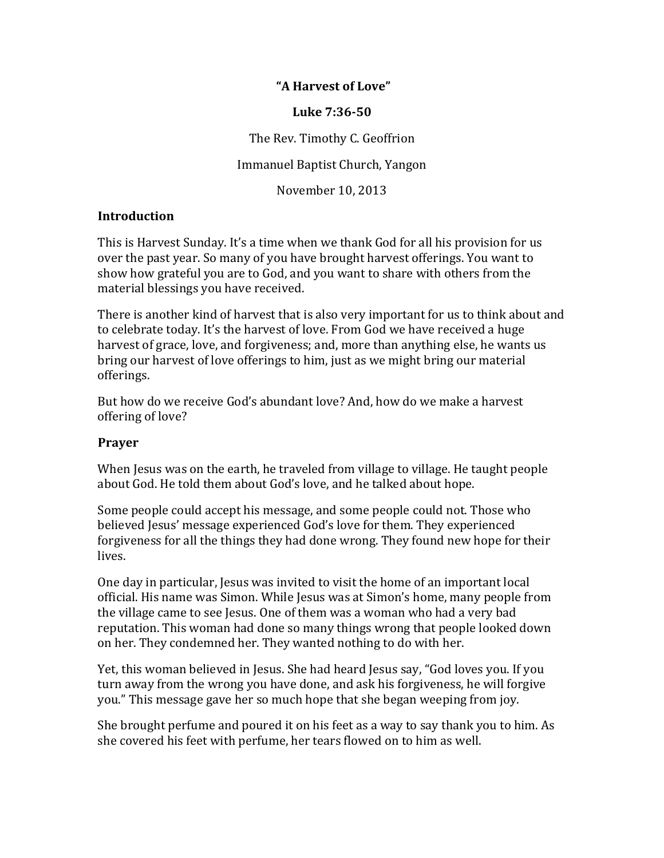## **"A!Harvest!of!Love"**

#### **Luke!7:36550**

The Rev. Timothy C. Geoffrion

Immanuel Baptist Church, Yangon

November 10, 2013

## **Introduction**

This is Harvest Sunday. It's a time when we thank God for all his provision for us over the past year. So many of you have brought harvest offerings. You want to show how grateful you are to God, and you want to share with others from the material blessings you have received.

There is another kind of harvest that is also very important for us to think about and to celebrate today. It's the harvest of love. From God we have received a huge harvest of grace, love, and forgiveness; and, more than anything else, he wants us bring our harvest of love offerings to him, just as we might bring our material offerings.

But how do we receive God's abundant love? And, how do we make a harvest offering of love?

#### **Prayer**

When Jesus was on the earth, he traveled from village to village. He taught people about God. He told them about God's love, and he talked about hope.

Some people could accept his message, and some people could not. Those who believed Jesus' message experienced God's love for them. They experienced forgiveness for all the things they had done wrong. They found new hope for their lives.

One day in particular, Jesus was invited to visit the home of an important local official. His name was Simon. While Jesus was at Simon's home, many people from the village came to see Jesus. One of them was a woman who had a very bad reputation. This woman had done so many things wrong that people looked down on her. They condemned her. They wanted nothing to do with her.

Yet, this woman believed in Jesus. She had heard Jesus say, "God loves you. If you turn away from the wrong you have done, and ask his forgiveness, he will forgive you." This message gave her so much hope that she began weeping from joy.

She brought perfume and poured it on his feet as a way to say thank you to him. As she covered his feet with perfume, her tears flowed on to him as well.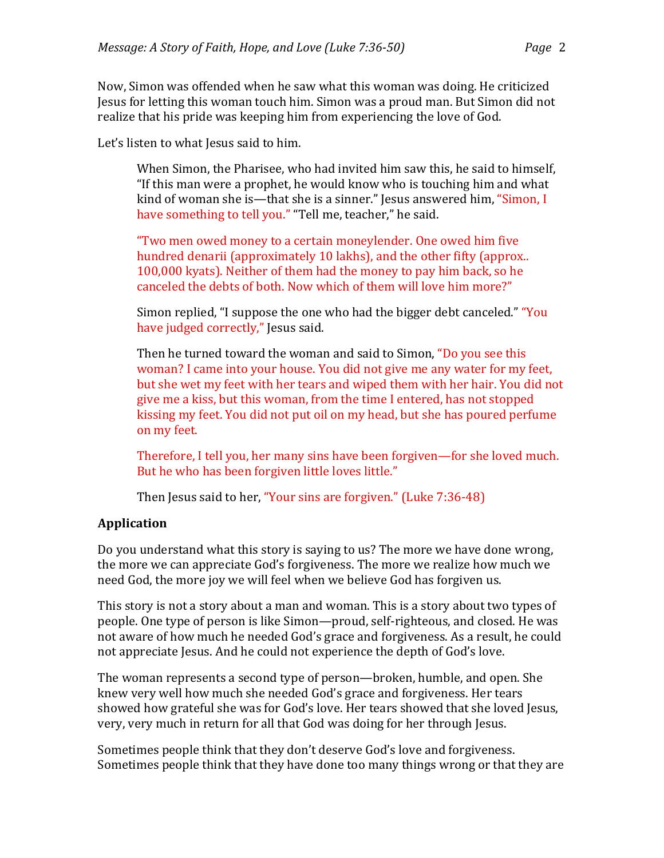Now, Simon was offended when he saw what this woman was doing. He criticized Jesus for letting this woman touch him. Simon was a proud man. But Simon did not realize that his pride was keeping him from experiencing the love of God.

Let's listen to what Jesus said to him.

When Simon, the Pharisee, who had invited him saw this, he said to himself, "If this man were a prophet, he would know who is touching him and what kind of woman she is—that she is a sinner." Jesus answered him, "Simon, I have something to tell you." "Tell me, teacher," he said.

"Two men owed money to a certain moneylender. One owed him five hundred denarii (approximately 10 lakhs), and the other fifty (approx.. 100,000 kyats). Neither of them had the money to pay him back, so he canceled the debts of both. Now which of them will love him more?"

Simon replied, "I suppose the one who had the bigger debt canceled." "You have judged correctly," Jesus said.

Then he turned toward the woman and said to Simon, "Do you see this woman? I came into your house. You did not give me any water for my feet, but she wet my feet with her tears and wiped them with her hair. You did not give me a kiss, but this woman, from the time I entered, has not stopped kissing my feet. You did not put oil on my head, but she has poured perfume on my feet.

Therefore, I tell you, her many sins have been forgiven—for she loved much. But he who has been forgiven little loves little."

Then Jesus said to her, "Your sins are forgiven." (Luke 7:36-48)

# **Application**

Do you understand what this story is saying to us? The more we have done wrong, the more we can appreciate God's forgiveness. The more we realize how much we need God, the more joy we will feel when we believe God has forgiven us.

This story is not a story about a man and woman. This is a story about two types of people. One type of person is like Simon—proud, self-righteous, and closed. He was not aware of how much he needed God's grace and forgiveness. As a result, he could not appreciate Jesus. And he could not experience the depth of God's love.

The woman represents a second type of person—broken, humble, and open. She knew very well how much she needed God's grace and forgiveness. Her tears showed how grateful she was for God's love. Her tears showed that she loved Jesus, very, very much in return for all that God was doing for her through Jesus.

Sometimes people think that they don't deserve God's love and forgiveness. Sometimes people think that they have done too many things wrong or that they are